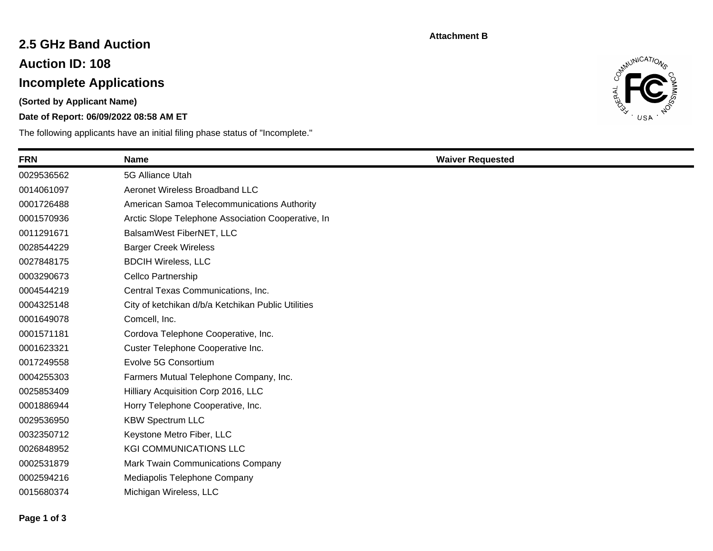#### **Attachment B**

## **2.5 GHz Band Auction**

**Auction ID: 108**

# **Incomplete Applications**

**(Sorted by Applicant Name)**

### **Date of Report: 06/09/2022 08:58 AM ET**

The following applicants have an initial filing phase status of "Incomplete."



| <b>FRN</b> | <b>Name</b>                                        | <b>Waiver Requested</b> |
|------------|----------------------------------------------------|-------------------------|
| 0029536562 | 5G Alliance Utah                                   |                         |
| 0014061097 | Aeronet Wireless Broadband LLC                     |                         |
| 0001726488 | American Samoa Telecommunications Authority        |                         |
| 0001570936 | Arctic Slope Telephone Association Cooperative, In |                         |
| 0011291671 | BalsamWest FiberNET, LLC                           |                         |
| 0028544229 | <b>Barger Creek Wireless</b>                       |                         |
| 0027848175 | <b>BDCIH Wireless, LLC</b>                         |                         |
| 0003290673 | Cellco Partnership                                 |                         |
| 0004544219 | Central Texas Communications, Inc.                 |                         |
| 0004325148 | City of ketchikan d/b/a Ketchikan Public Utilities |                         |
| 0001649078 | Comcell, Inc.                                      |                         |
| 0001571181 | Cordova Telephone Cooperative, Inc.                |                         |
| 0001623321 | Custer Telephone Cooperative Inc.                  |                         |
| 0017249558 | Evolve 5G Consortium                               |                         |
| 0004255303 | Farmers Mutual Telephone Company, Inc.             |                         |
| 0025853409 | Hilliary Acquisition Corp 2016, LLC                |                         |
| 0001886944 | Horry Telephone Cooperative, Inc.                  |                         |
| 0029536950 | <b>KBW Spectrum LLC</b>                            |                         |
| 0032350712 | Keystone Metro Fiber, LLC                          |                         |
| 0026848952 | <b>KGI COMMUNICATIONS LLC</b>                      |                         |
| 0002531879 | Mark Twain Communications Company                  |                         |
| 0002594216 | Mediapolis Telephone Company                       |                         |
| 0015680374 | Michigan Wireless, LLC                             |                         |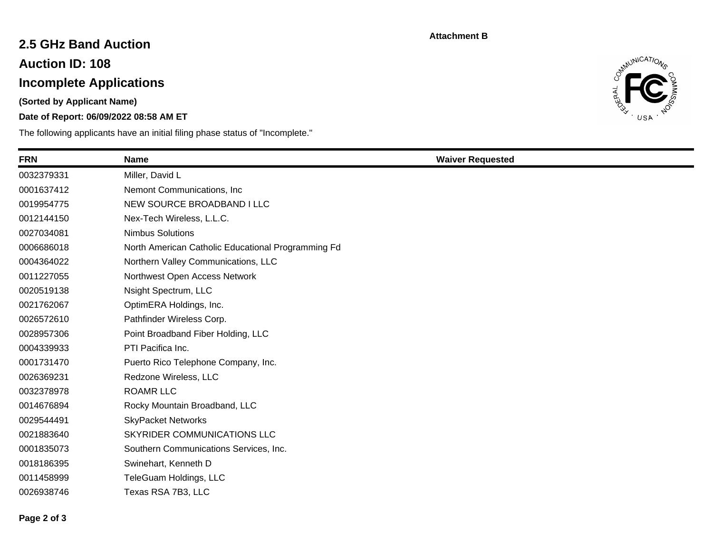#### **Attachment B**

## **2.5 GHz Band Auction**

**Auction ID: 108**

# **Incomplete Applications**

**(Sorted by Applicant Name)**

### **Date of Report: 06/09/2022 08:58 AM ET**

The following applicants have an initial filing phase status of "Incomplete."



| <b>FRN</b> | <b>Name</b>                                        | <b>Waiver Requested</b> |
|------------|----------------------------------------------------|-------------------------|
| 0032379331 | Miller, David L                                    |                         |
| 0001637412 | Nemont Communications, Inc.                        |                         |
| 0019954775 | NEW SOURCE BROADBAND I LLC                         |                         |
| 0012144150 | Nex-Tech Wireless, L.L.C.                          |                         |
| 0027034081 | <b>Nimbus Solutions</b>                            |                         |
| 0006686018 | North American Catholic Educational Programming Fd |                         |
| 0004364022 | Northern Valley Communications, LLC                |                         |
| 0011227055 | Northwest Open Access Network                      |                         |
| 0020519138 | Nsight Spectrum, LLC                               |                         |
| 0021762067 | OptimERA Holdings, Inc.                            |                         |
| 0026572610 | Pathfinder Wireless Corp.                          |                         |
| 0028957306 | Point Broadband Fiber Holding, LLC                 |                         |
| 0004339933 | PTI Pacifica Inc.                                  |                         |
| 0001731470 | Puerto Rico Telephone Company, Inc.                |                         |
| 0026369231 | Redzone Wireless, LLC                              |                         |
| 0032378978 | <b>ROAMR LLC</b>                                   |                         |
| 0014676894 | Rocky Mountain Broadband, LLC                      |                         |
| 0029544491 | <b>SkyPacket Networks</b>                          |                         |
| 0021883640 | SKYRIDER COMMUNICATIONS LLC                        |                         |
| 0001835073 | Southern Communications Services, Inc.             |                         |
| 0018186395 | Swinehart, Kenneth D                               |                         |
| 0011458999 | TeleGuam Holdings, LLC                             |                         |
| 0026938746 | Texas RSA 7B3, LLC                                 |                         |